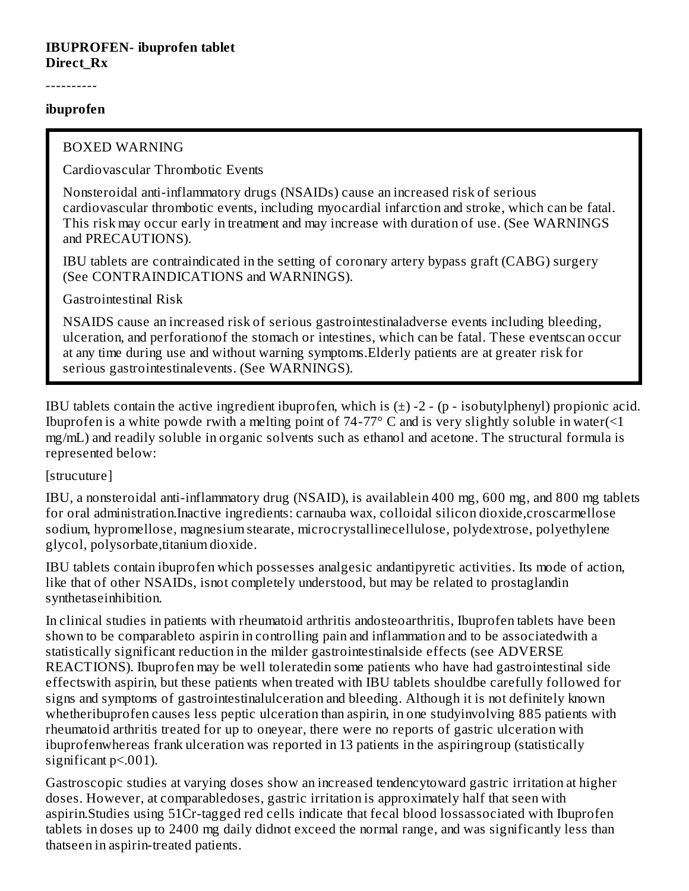#### **IBUPROFEN- ibuprofen tablet Direct\_Rx**

----------

#### **ibuprofen**

#### BOXED WARNING

Cardiovascular Thrombotic Events

Nonsteroidal anti-inflammatory drugs (NSAIDs) cause an increased risk of serious cardiovascular thrombotic events, including myocardial infarction and stroke, which can be fatal. This risk may occur early in treatment and may increase with duration of use. (See WARNINGS and PRECAUTIONS).

IBU tablets are contraindicated in the setting of coronary artery bypass graft (CABG) surgery (See CONTRAINDICATIONS and WARNINGS).

Gastrointestinal Risk

NSAIDS cause an increased risk of serious gastrointestinaladverse events including bleeding, ulceration, and perforationof the stomach or intestines, which can be fatal. These eventscan occur at any time during use and without warning symptoms.Elderly patients are at greater risk for serious gastrointestinalevents. (See WARNINGS).

IBU tablets contain the active ingredient ibuprofen, which is  $(\pm)$  -2 - (p - isobutylphenyl) propionic acid. Ibuprofen is a white powde rwith a melting point of  $74-77^{\circ}$  C and is very slightly soluble in water(<1 mg/mL) and readily soluble in organic solvents such as ethanol and acetone. The structural formula is represented below:

[strucuture]

IBU, a nonsteroidal anti-inflammatory drug (NSAID), is availablein 400 mg, 600 mg, and 800 mg tablets for oral administration.Inactive ingredients: carnauba wax, colloidal silicon dioxide,croscarmellose sodium, hypromellose, magnesium stearate, microcrystallinecellulose, polydextrose, polyethylene glycol, polysorbate, titanium dioxide.

IBU tablets contain ibuprofen which possesses analgesic andantipyretic activities. Its mode of action, like that of other NSAIDs, isnot completely understood, but may be related to prostaglandin synthetaseinhibition.

In clinical studies in patients with rheumatoid arthritis andosteoarthritis, Ibuprofen tablets have been shown to be comparableto aspirin in controlling pain and inflammation and to be associatedwith a statistically significant reduction in the milder gastrointestinalside effects (see ADVERSE REACTIONS). Ibuprofen may be well toleratedin some patients who have had gastrointestinal side effectswith aspirin, but these patients when treated with IBU tablets shouldbe carefully followed for signs and symptoms of gastrointestinalulceration and bleeding. Although it is not definitely known whetheribuprofen causes less peptic ulceration than aspirin, in one studyinvolving 885 patients with rheumatoid arthritis treated for up to oneyear, there were no reports of gastric ulceration with ibuprofenwhereas frank ulceration was reported in 13 patients in the aspiringroup (statistically significant p<.001).

Gastroscopic studies at varying doses show an increased tendencytoward gastric irritation at higher doses. However, at comparabledoses, gastric irritation is approximately half that seen with aspirin.Studies using 51Cr-tagged red cells indicate that fecal blood lossassociated with Ibuprofen tablets in doses up to 2400 mg daily didnot exceed the normal range, and was significantly less than thatseen in aspirin-treated patients.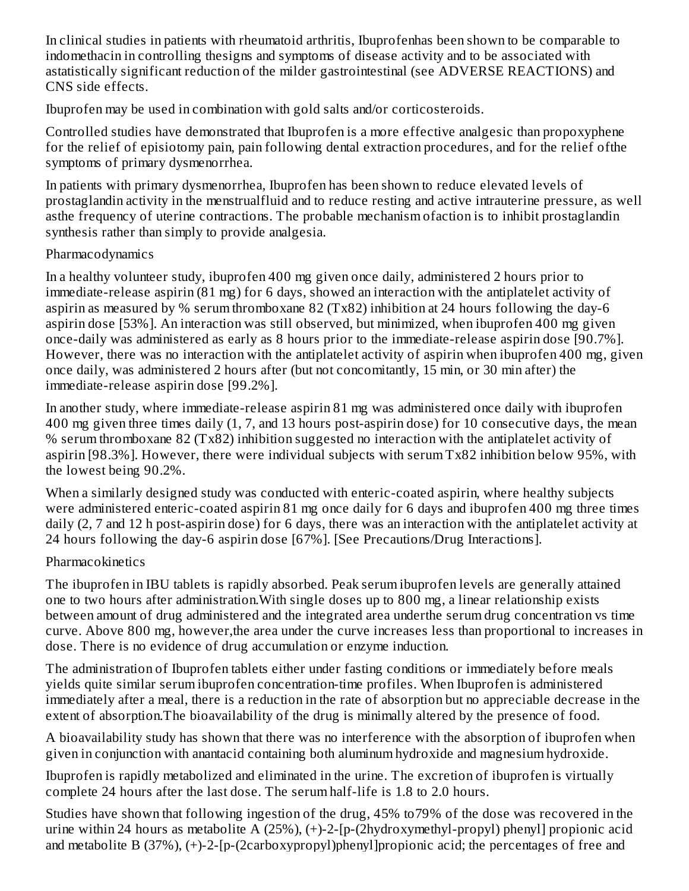In clinical studies in patients with rheumatoid arthritis, Ibuprofenhas been shown to be comparable to indomethacin in controlling thesigns and symptoms of disease activity and to be associated with astatistically significant reduction of the milder gastrointestinal (see ADVERSE REACTIONS) and CNS side effects.

Ibuprofen may be used in combination with gold salts and/or corticosteroids.

Controlled studies have demonstrated that Ibuprofen is a more effective analgesic than propoxyphene for the relief of episiotomy pain, pain following dental extraction procedures, and for the relief ofthe symptoms of primary dysmenorrhea.

In patients with primary dysmenorrhea, Ibuprofen has been shown to reduce elevated levels of prostaglandin activity in the menstrualfluid and to reduce resting and active intrauterine pressure, as well asthe frequency of uterine contractions. The probable mechanism ofaction is to inhibit prostaglandin synthesis rather than simply to provide analgesia.

## Pharmacodynamics

In a healthy volunteer study, ibuprofen 400 mg given once daily, administered 2 hours prior to immediate-release aspirin (81 mg) for 6 days, showed an interaction with the antiplatelet activity of aspirin as measured by % serum thromboxane  $82$  (Tx82) inhibition at 24 hours following the day-6 aspirin dose [53%]. An interaction was still observed, but minimized, when ibuprofen 400 mg given once-daily was administered as early as 8 hours prior to the immediate-release aspirin dose [90.7%]. However, there was no interaction with the antiplatelet activity of aspirin when ibuprofen 400 mg, given once daily, was administered 2 hours after (but not concomitantly, 15 min, or 30 min after) the immediate-release aspirin dose [99.2%].

In another study, where immediate-release aspirin 81 mg was administered once daily with ibuprofen 400 mg given three times daily (1, 7, and 13 hours post-aspirin dose) for 10 consecutive days, the mean % serum thromboxane 82 (Tx82) inhibition suggested no interaction with the antiplatelet activity of aspirin [98.3%]. However, there were individual subjects with serum Tx82 inhibition below 95%, with the lowest being 90.2%.

When a similarly designed study was conducted with enteric-coated aspirin, where healthy subjects were administered enteric-coated aspirin 81 mg once daily for 6 days and ibuprofen 400 mg three times daily (2, 7 and 12 h post-aspirin dose) for 6 days, there was an interaction with the antiplatelet activity at 24 hours following the day-6 aspirin dose [67%]. [See Precautions/Drug Interactions].

# Pharmacokinetics

The ibuprofen in IBU tablets is rapidly absorbed. Peak serum ibuprofen levels are generally attained one to two hours after administration.With single doses up to 800 mg, a linear relationship exists between amount of drug administered and the integrated area underthe serum drug concentration vs time curve. Above 800 mg, however,the area under the curve increases less than proportional to increases in dose. There is no evidence of drug accumulation or enzyme induction.

The administration of Ibuprofen tablets either under fasting conditions or immediately before meals yields quite similar serum ibuprofen concentration-time profiles. When Ibuprofen is administered immediately after a meal, there is a reduction in the rate of absorption but no appreciable decrease in the extent of absorption.The bioavailability of the drug is minimally altered by the presence of food.

A bioavailability study has shown that there was no interference with the absorption of ibuprofen when given in conjunction with anantacid containing both aluminum hydroxide and magnesium hydroxide.

Ibuprofen is rapidly metabolized and eliminated in the urine. The excretion of ibuprofen is virtually complete 24 hours after the last dose. The serum half-life is 1.8 to 2.0 hours.

Studies have shown that following ingestion of the drug, 45% to79% of the dose was recovered in the urine within 24 hours as metabolite A (25%), (+)-2-[p-(2hydroxymethyl-propyl) phenyl] propionic acid and metabolite B (37%), (+)-2-[p-(2carboxypropyl)phenyl]propionic acid; the percentages of free and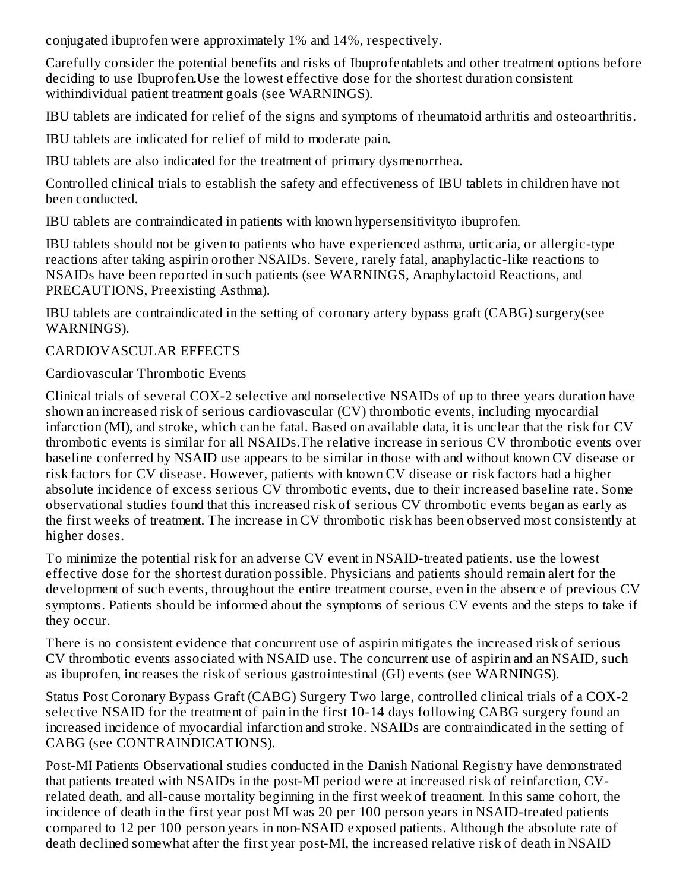conjugated ibuprofen were approximately 1% and 14%, respectively.

Carefully consider the potential benefits and risks of Ibuprofentablets and other treatment options before deciding to use Ibuprofen.Use the lowest effective dose for the shortest duration consistent withindividual patient treatment goals (see WARNINGS).

IBU tablets are indicated for relief of the signs and symptoms of rheumatoid arthritis and osteoarthritis.

IBU tablets are indicated for relief of mild to moderate pain.

IBU tablets are also indicated for the treatment of primary dysmenorrhea.

Controlled clinical trials to establish the safety and effectiveness of IBU tablets in children have not been conducted.

IBU tablets are contraindicated in patients with known hypersensitivityto ibuprofen.

IBU tablets should not be given to patients who have experienced asthma, urticaria, or allergic-type reactions after taking aspirin orother NSAIDs. Severe, rarely fatal, anaphylactic-like reactions to NSAIDs have been reported in such patients (see WARNINGS, Anaphylactoid Reactions, and PRECAUTIONS, Preexisting Asthma).

IBU tablets are contraindicated in the setting of coronary artery bypass graft (CABG) surgery(see WARNINGS).

# CARDIOVASCULAR EFFECTS

# Cardiovascular Thrombotic Events

Clinical trials of several COX-2 selective and nonselective NSAIDs of up to three years duration have shown an increased risk of serious cardiovascular (CV) thrombotic events, including myocardial infarction (MI), and stroke, which can be fatal. Based on available data, it is unclear that the risk for CV thrombotic events is similar for all NSAIDs.The relative increase in serious CV thrombotic events over baseline conferred by NSAID use appears to be similar in those with and without known CV disease or risk factors for CV disease. However, patients with known CV disease or risk factors had a higher absolute incidence of excess serious CV thrombotic events, due to their increased baseline rate. Some observational studies found that this increased risk of serious CV thrombotic events began as early as the first weeks of treatment. The increase in CV thrombotic risk has been observed most consistently at higher doses.

To minimize the potential risk for an adverse CV event in NSAID-treated patients, use the lowest effective dose for the shortest duration possible. Physicians and patients should remain alert for the development of such events, throughout the entire treatment course, even in the absence of previous CV symptoms. Patients should be informed about the symptoms of serious CV events and the steps to take if they occur.

There is no consistent evidence that concurrent use of aspirin mitigates the increased risk of serious CV thrombotic events associated with NSAID use. The concurrent use of aspirin and an NSAID, such as ibuprofen, increases the risk of serious gastrointestinal (GI) events (see WARNINGS).

Status Post Coronary Bypass Graft (CABG) Surgery Two large, controlled clinical trials of a COX-2 selective NSAID for the treatment of pain in the first 10-14 days following CABG surgery found an increased incidence of myocardial infarction and stroke. NSAIDs are contraindicated in the setting of CABG (see CONTRAINDICATIONS).

Post-MI Patients Observational studies conducted in the Danish National Registry have demonstrated that patients treated with NSAIDs in the post-MI period were at increased risk of reinfarction, CVrelated death, and all-cause mortality beginning in the first week of treatment. In this same cohort, the incidence of death in the first year post MI was 20 per 100 person years in NSAID-treated patients compared to 12 per 100 person years in non-NSAID exposed patients. Although the absolute rate of death declined somewhat after the first year post-MI, the increased relative risk of death in NSAID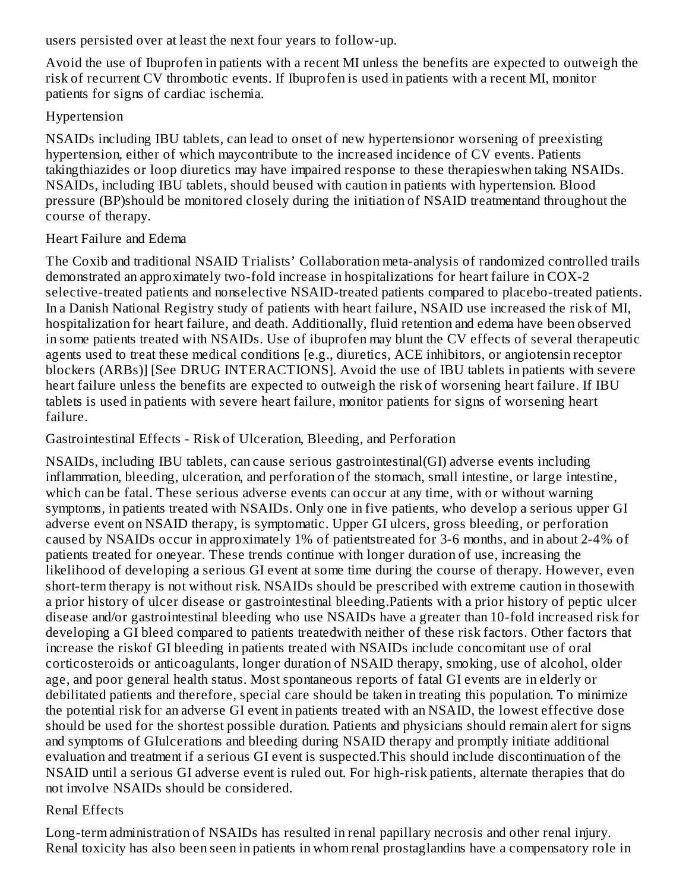users persisted over at least the next four years to follow-up.

Avoid the use of Ibuprofen in patients with a recent MI unless the benefits are expected to outweigh the risk of recurrent CV thrombotic events. If Ibuprofen is used in patients with a recent MI, monitor patients for signs of cardiac ischemia.

#### Hypertension

NSAIDs including IBU tablets, can lead to onset of new hypertensionor worsening of preexisting hypertension, either of which maycontribute to the increased incidence of CV events. Patients takingthiazides or loop diuretics may have impaired response to these therapieswhen taking NSAIDs. NSAIDs, including IBU tablets, should beused with caution in patients with hypertension. Blood pressure (BP)should be monitored closely during the initiation of NSAID treatmentand throughout the course of therapy.

## Heart Failure and Edema

The Coxib and traditional NSAID Trialists' Collaboration meta-analysis of randomized controlled trails demonstrated an approximately two-fold increase in hospitalizations for heart failure in COX-2 selective-treated patients and nonselective NSAID-treated patients compared to placebo-treated patients. In a Danish National Registry study of patients with heart failure, NSAID use increased the risk of MI, hospitalization for heart failure, and death. Additionally, fluid retention and edema have been observed in some patients treated with NSAIDs. Use of ibuprofen may blunt the CV effects of several therapeutic agents used to treat these medical conditions [e.g., diuretics, ACE inhibitors, or angiotensin receptor blockers (ARBs)] [See DRUG INTERACTIONS]. Avoid the use of IBU tablets in patients with severe heart failure unless the benefits are expected to outweigh the risk of worsening heart failure. If IBU tablets is used in patients with severe heart failure, monitor patients for signs of worsening heart failure.

Gastrointestinal Effects - Risk of Ulceration, Bleeding, and Perforation

NSAIDs, including IBU tablets, can cause serious gastrointestinal(GI) adverse events including inflammation, bleeding, ulceration, and perforation of the stomach, small intestine, or large intestine, which can be fatal. These serious adverse events can occur at any time, with or without warning symptoms, in patients treated with NSAIDs. Only one in five patients, who develop a serious upper GI adverse event on NSAID therapy, is symptomatic. Upper GI ulcers, gross bleeding, or perforation caused by NSAIDs occur in approximately 1% of patientstreated for 3-6 months, and in about 2-4% of patients treated for oneyear. These trends continue with longer duration of use, increasing the likelihood of developing a serious GI event at some time during the course of therapy. However, even short-term therapy is not without risk. NSAIDs should be prescribed with extreme caution in thosewith a prior history of ulcer disease or gastrointestinal bleeding.Patients with a prior history of peptic ulcer disease and/or gastrointestinal bleeding who use NSAIDs have a greater than 10-fold increased risk for developing a GI bleed compared to patients treatedwith neither of these risk factors. Other factors that increase the riskof GI bleeding in patients treated with NSAIDs include concomitant use of oral corticosteroids or anticoagulants, longer duration of NSAID therapy, smoking, use of alcohol, older age, and poor general health status. Most spontaneous reports of fatal GI events are in elderly or debilitated patients and therefore, special care should be taken in treating this population. To minimize the potential risk for an adverse GI event in patients treated with an NSAID, the lowest effective dose should be used for the shortest possible duration. Patients and physicians should remain alert for signs and symptoms of GIulcerations and bleeding during NSAID therapy and promptly initiate additional evaluation and treatment if a serious GI event is suspected.This should include discontinuation of the NSAID until a serious GI adverse event is ruled out. For high-risk patients, alternate therapies that do not involve NSAIDs should be considered.

# Renal Effects

Long-term administration of NSAIDs has resulted in renal papillary necrosis and other renal injury. Renal toxicity has also been seen in patients in whom renal prostaglandins have a compensatory role in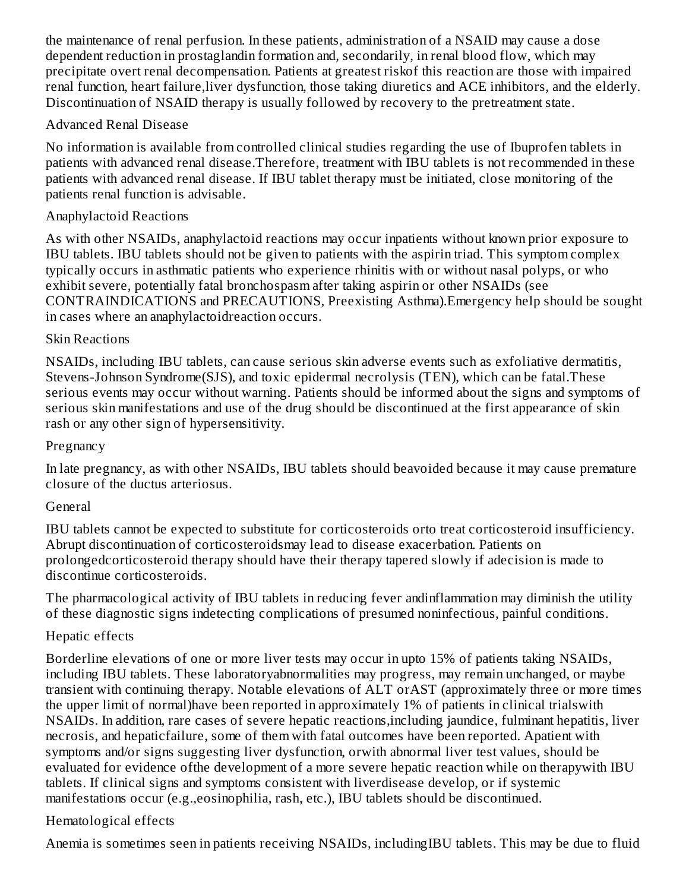the maintenance of renal perfusion. In these patients, administration of a NSAID may cause a dose dependent reduction in prostaglandin formation and, secondarily, in renal blood flow, which may precipitate overt renal decompensation. Patients at greatest riskof this reaction are those with impaired renal function, heart failure,liver dysfunction, those taking diuretics and ACE inhibitors, and the elderly. Discontinuation of NSAID therapy is usually followed by recovery to the pretreatment state.

#### Advanced Renal Disease

No information is available from controlled clinical studies regarding the use of Ibuprofen tablets in patients with advanced renal disease.Therefore, treatment with IBU tablets is not recommended in these patients with advanced renal disease. If IBU tablet therapy must be initiated, close monitoring of the patients renal function is advisable.

# Anaphylactoid Reactions

As with other NSAIDs, anaphylactoid reactions may occur inpatients without known prior exposure to IBU tablets. IBU tablets should not be given to patients with the aspirin triad. This symptom complex typically occurs in asthmatic patients who experience rhinitis with or without nasal polyps, or who exhibit severe, potentially fatal bronchospasm after taking aspirin or other NSAIDs (see CONTRAINDICATIONS and PRECAUTIONS, Preexisting Asthma).Emergency help should be sought in cases where an anaphylactoidreaction occurs.

## Skin Reactions

NSAIDs, including IBU tablets, can cause serious skin adverse events such as exfoliative dermatitis, Stevens-Johnson Syndrome(SJS), and toxic epidermal necrolysis (TEN), which can be fatal.These serious events may occur without warning. Patients should be informed about the signs and symptoms of serious skin manifestations and use of the drug should be discontinued at the first appearance of skin rash or any other sign of hypersensitivity.

# **Pregnancy**

In late pregnancy, as with other NSAIDs, IBU tablets should beavoided because it may cause premature closure of the ductus arteriosus.

# General

IBU tablets cannot be expected to substitute for corticosteroids orto treat corticosteroid insufficiency. Abrupt discontinuation of corticosteroidsmay lead to disease exacerbation. Patients on prolongedcorticosteroid therapy should have their therapy tapered slowly if adecision is made to discontinue corticosteroids.

The pharmacological activity of IBU tablets in reducing fever andinflammation may diminish the utility of these diagnostic signs indetecting complications of presumed noninfectious, painful conditions.

# Hepatic effects

Borderline elevations of one or more liver tests may occur in upto 15% of patients taking NSAIDs, including IBU tablets. These laboratoryabnormalities may progress, may remain unchanged, or maybe transient with continuing therapy. Notable elevations of ALT orAST (approximately three or more times the upper limit of normal)have been reported in approximately 1% of patients in clinical trialswith NSAIDs. In addition, rare cases of severe hepatic reactions,including jaundice, fulminant hepatitis, liver necrosis, and hepaticfailure, some of them with fatal outcomes have been reported. Apatient with symptoms and/or signs suggesting liver dysfunction, orwith abnormal liver test values, should be evaluated for evidence ofthe development of a more severe hepatic reaction while on therapywith IBU tablets. If clinical signs and symptoms consistent with liverdisease develop, or if systemic manifestations occur (e.g.,eosinophilia, rash, etc.), IBU tablets should be discontinued.

# Hematological effects

Anemia is sometimes seen in patients receiving NSAIDs, includingIBU tablets. This may be due to fluid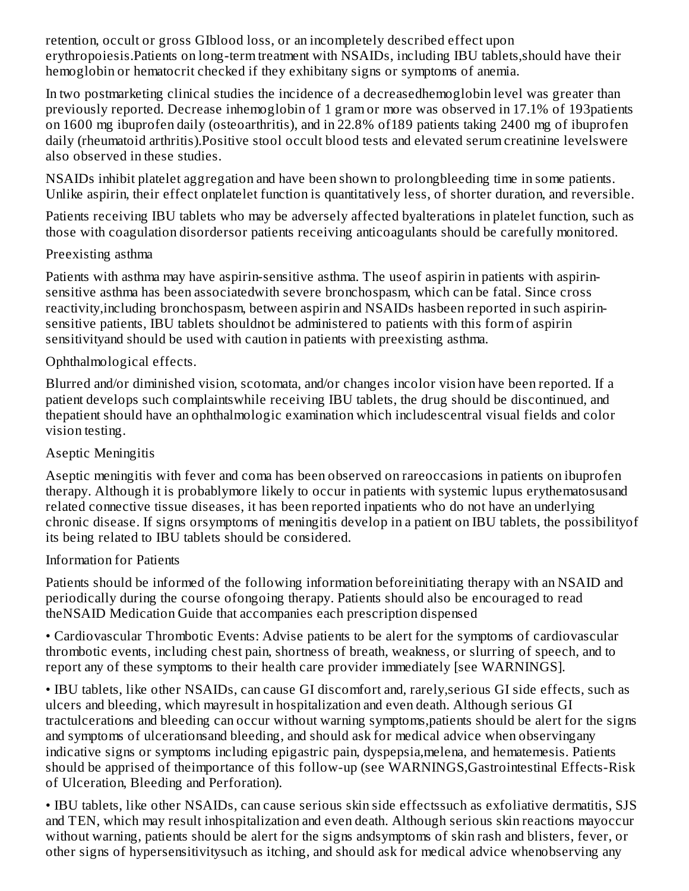retention, occult or gross GIblood loss, or an incompletely described effect upon erythropoiesis.Patients on long-term treatment with NSAIDs, including IBU tablets,should have their hemoglobin or hematocrit checked if they exhibitany signs or symptoms of anemia.

In two postmarketing clinical studies the incidence of a decreasedhemoglobin level was greater than previously reported. Decrease inhemoglobin of 1 gram or more was observed in 17.1% of 193patients on 1600 mg ibuprofen daily (osteoarthritis), and in 22.8% of189 patients taking 2400 mg of ibuprofen daily (rheumatoid arthritis).Positive stool occult blood tests and elevated serum creatinine levelswere also observed in these studies.

NSAIDs inhibit platelet aggregation and have been shown to prolongbleeding time in some patients. Unlike aspirin, their effect onplatelet function is quantitatively less, of shorter duration, and reversible.

Patients receiving IBU tablets who may be adversely affected byalterations in platelet function, such as those with coagulation disordersor patients receiving anticoagulants should be carefully monitored.

## Preexisting asthma

Patients with asthma may have aspirin-sensitive asthma. The useof aspirin in patients with aspirinsensitive asthma has been associatedwith severe bronchospasm, which can be fatal. Since cross reactivity,including bronchospasm, between aspirin and NSAIDs hasbeen reported in such aspirinsensitive patients, IBU tablets shouldnot be administered to patients with this form of aspirin sensitivityand should be used with caution in patients with preexisting asthma.

# Ophthalmological effects.

Blurred and/or diminished vision, scotomata, and/or changes incolor vision have been reported. If a patient develops such complaintswhile receiving IBU tablets, the drug should be discontinued, and thepatient should have an ophthalmologic examination which includescentral visual fields and color vision testing.

# Aseptic Meningitis

Aseptic meningitis with fever and coma has been observed on rareoccasions in patients on ibuprofen therapy. Although it is probablymore likely to occur in patients with systemic lupus erythematosusand related connective tissue diseases, it has been reported inpatients who do not have an underlying chronic disease. If signs orsymptoms of meningitis develop in a patient on IBU tablets, the possibilityof its being related to IBU tablets should be considered.

# Information for Patients

Patients should be informed of the following information beforeinitiating therapy with an NSAID and periodically during the course ofongoing therapy. Patients should also be encouraged to read theNSAID Medication Guide that accompanies each prescription dispensed

• Cardiovascular Thrombotic Events: Advise patients to be alert for the symptoms of cardiovascular thrombotic events, including chest pain, shortness of breath, weakness, or slurring of speech, and to report any of these symptoms to their health care provider immediately [see WARNINGS].

• IBU tablets, like other NSAIDs, can cause GI discomfort and, rarely,serious GI side effects, such as ulcers and bleeding, which mayresult in hospitalization and even death. Although serious GI tractulcerations and bleeding can occur without warning symptoms,patients should be alert for the signs and symptoms of ulcerationsand bleeding, and should ask for medical advice when observingany indicative signs or symptoms including epigastric pain, dyspepsia,melena, and hematemesis. Patients should be apprised of theimportance of this follow-up (see WARNINGS,Gastrointestinal Effects-Risk of Ulceration, Bleeding and Perforation).

• IBU tablets, like other NSAIDs, can cause serious skin side effectssuch as exfoliative dermatitis, SJS and TEN, which may result inhospitalization and even death. Although serious skin reactions mayoccur without warning, patients should be alert for the signs andsymptoms of skin rash and blisters, fever, or other signs of hypersensitivitysuch as itching, and should ask for medical advice whenobserving any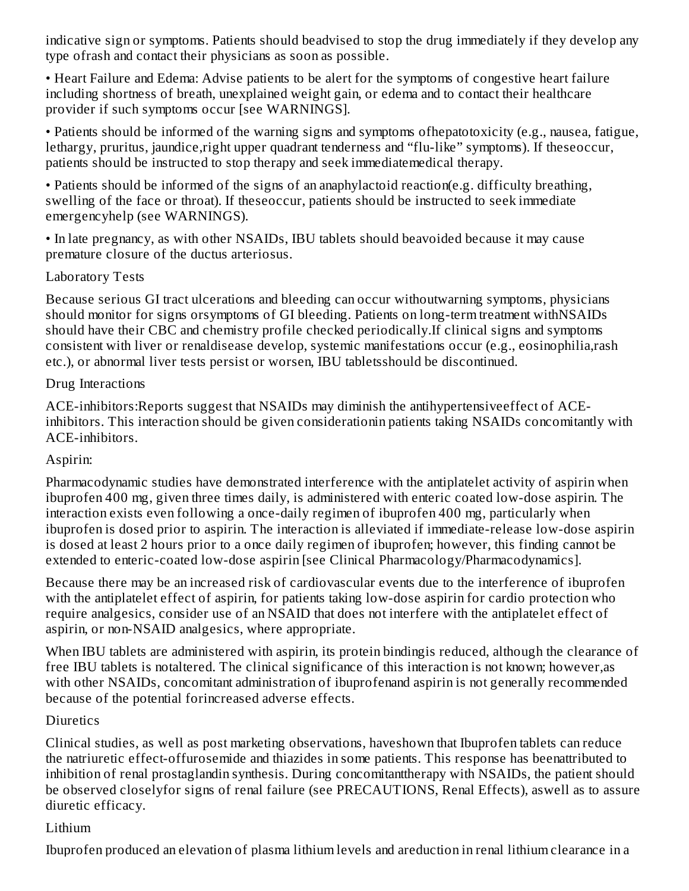indicative sign or symptoms. Patients should beadvised to stop the drug immediately if they develop any type ofrash and contact their physicians as soon as possible.

• Heart Failure and Edema: Advise patients to be alert for the symptoms of congestive heart failure including shortness of breath, unexplained weight gain, or edema and to contact their healthcare provider if such symptoms occur [see WARNINGS].

• Patients should be informed of the warning signs and symptoms ofhepatotoxicity (e.g., nausea, fatigue, lethargy, pruritus, jaundice,right upper quadrant tenderness and "flu-like" symptoms). If theseoccur, patients should be instructed to stop therapy and seek immediatemedical therapy.

• Patients should be informed of the signs of an anaphylactoid reaction(e.g. difficulty breathing, swelling of the face or throat). If theseoccur, patients should be instructed to seek immediate emergencyhelp (see WARNINGS).

• In late pregnancy, as with other NSAIDs, IBU tablets should beavoided because it may cause premature closure of the ductus arteriosus.

## Laboratory Tests

Because serious GI tract ulcerations and bleeding can occur withoutwarning symptoms, physicians should monitor for signs orsymptoms of GI bleeding. Patients on long-term treatment withNSAIDs should have their CBC and chemistry profile checked periodically.If clinical signs and symptoms consistent with liver or renaldisease develop, systemic manifestations occur (e.g., eosinophilia,rash etc.), or abnormal liver tests persist or worsen, IBU tabletsshould be discontinued.

## Drug Interactions

ACE-inhibitors:Reports suggest that NSAIDs may diminish the antihypertensiveeffect of ACEinhibitors. This interaction should be given considerationin patients taking NSAIDs concomitantly with ACE-inhibitors.

# Aspirin:

Pharmacodynamic studies have demonstrated interference with the antiplatelet activity of aspirin when ibuprofen 400 mg, given three times daily, is administered with enteric coated low-dose aspirin. The interaction exists even following a once-daily regimen of ibuprofen 400 mg, particularly when ibuprofen is dosed prior to aspirin. The interaction is alleviated if immediate-release low-dose aspirin is dosed at least 2 hours prior to a once daily regimen of ibuprofen; however, this finding cannot be extended to enteric-coated low-dose aspirin [see Clinical Pharmacology/Pharmacodynamics].

Because there may be an increased risk of cardiovascular events due to the interference of ibuprofen with the antiplatelet effect of aspirin, for patients taking low-dose aspirin for cardio protection who require analgesics, consider use of an NSAID that does not interfere with the antiplatelet effect of aspirin, or non-NSAID analgesics, where appropriate.

When IBU tablets are administered with aspirin, its protein bindingis reduced, although the clearance of free IBU tablets is notaltered. The clinical significance of this interaction is not known; however,as with other NSAIDs, concomitant administration of ibuprofenand aspirin is not generally recommended because of the potential forincreased adverse effects.

# **Diuretics**

Clinical studies, as well as post marketing observations, haveshown that Ibuprofen tablets can reduce the natriuretic effect-offurosemide and thiazides in some patients. This response has beenattributed to inhibition of renal prostaglandin synthesis. During concomitanttherapy with NSAIDs, the patient should be observed closelyfor signs of renal failure (see PRECAUTIONS, Renal Effects), aswell as to assure diuretic efficacy.

# Lithium

Ibuprofen produced an elevation of plasma lithium levels and areduction in renal lithium clearance in a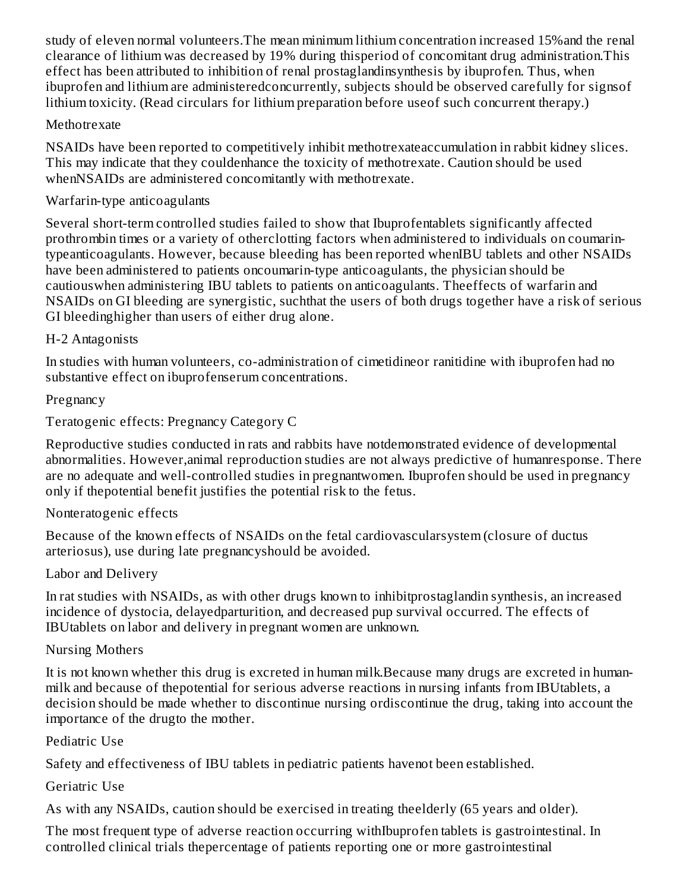study of eleven normal volunteers.The mean minimum lithium concentration increased 15%and the renal clearance of lithium was decreased by 19% during thisperiod of concomitant drug administration.This effect has been attributed to inhibition of renal prostaglandinsynthesis by ibuprofen. Thus, when ibuprofen and lithium are administeredconcurrently, subjects should be observed carefully for signsof lithium toxicity. (Read circulars for lithium preparation before useof such concurrent therapy.)

#### **Methotrexate**

NSAIDs have been reported to competitively inhibit methotrexateaccumulation in rabbit kidney slices. This may indicate that they couldenhance the toxicity of methotrexate. Caution should be used whenNSAIDs are administered concomitantly with methotrexate.

# Warfarin-type anticoagulants

Several short-term controlled studies failed to show that Ibuprofentablets significantly affected prothrombin times or a variety of otherclotting factors when administered to individuals on coumarintypeanticoagulants. However, because bleeding has been reported whenIBU tablets and other NSAIDs have been administered to patients oncoumarin-type anticoagulants, the physician should be cautiouswhen administering IBU tablets to patients on anticoagulants. Theeffects of warfarin and NSAIDs on GI bleeding are synergistic, suchthat the users of both drugs together have a risk of serious GI bleedinghigher than users of either drug alone.

# H-2 Antagonists

In studies with human volunteers, co-administration of cimetidineor ranitidine with ibuprofen had no substantive effect on ibuprofenserum concentrations.

# Pregnancy

# Teratogenic effects: Pregnancy Category C

Reproductive studies conducted in rats and rabbits have notdemonstrated evidence of developmental abnormalities. However,animal reproduction studies are not always predictive of humanresponse. There are no adequate and well-controlled studies in pregnantwomen. Ibuprofen should be used in pregnancy only if thepotential benefit justifies the potential risk to the fetus.

# Nonteratogenic effects

Because of the known effects of NSAIDs on the fetal cardiovascularsystem (closure of ductus arteriosus), use during late pregnancyshould be avoided.

# Labor and Delivery

In rat studies with NSAIDs, as with other drugs known to inhibitprostaglandin synthesis, an increased incidence of dystocia, delayedparturition, and decreased pup survival occurred. The effects of IBUtablets on labor and delivery in pregnant women are unknown.

# Nursing Mothers

It is not known whether this drug is excreted in human milk.Because many drugs are excreted in humanmilk and because of thepotential for serious adverse reactions in nursing infants from IBUtablets, a decision should be made whether to discontinue nursing ordiscontinue the drug, taking into account the importance of the drugto the mother.

# Pediatric Use

Safety and effectiveness of IBU tablets in pediatric patients havenot been established.

# Geriatric Use

As with any NSAIDs, caution should be exercised in treating theelderly (65 years and older).

The most frequent type of adverse reaction occurring withIbuprofen tablets is gastrointestinal. In controlled clinical trials thepercentage of patients reporting one or more gastrointestinal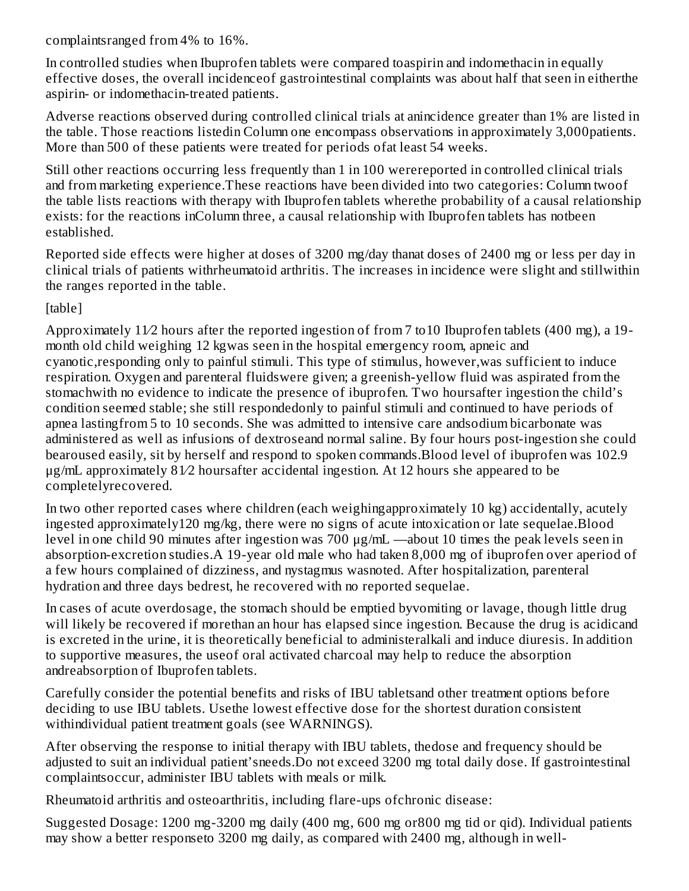complaintsranged from 4% to 16%.

In controlled studies when Ibuprofen tablets were compared toaspirin and indomethacin in equally effective doses, the overall incidenceof gastrointestinal complaints was about half that seen in eitherthe aspirin- or indomethacin-treated patients.

Adverse reactions observed during controlled clinical trials at anincidence greater than 1% are listed in the table. Those reactions listedin Column one encompass observations in approximately 3,000patients. More than 500 of these patients were treated for periods ofat least 54 weeks.

Still other reactions occurring less frequently than 1 in 100 werereported in controlled clinical trials and from marketing experience.These reactions have been divided into two categories: Column twoof the table lists reactions with therapy with Ibuprofen tablets wherethe probability of a causal relationship exists: for the reactions inColumn three, a causal relationship with Ibuprofen tablets has notbeen established.

Reported side effects were higher at doses of 3200 mg/day thanat doses of 2400 mg or less per day in clinical trials of patients withrheumatoid arthritis. The increases in incidence were slight and stillwithin the ranges reported in the table.

#### [table]

Approximately 11⁄2 hours after the reported ingestion of from 7 to10 Ibuprofen tablets (400 mg), a 19 month old child weighing 12 kgwas seen in the hospital emergency room, apneic and cyanotic,responding only to painful stimuli. This type of stimulus, however,was sufficient to induce respiration. Oxygen and parenteral fluidswere given; a greenish-yellow fluid was aspirated from the stomachwith no evidence to indicate the presence of ibuprofen. Two hoursafter ingestion the child's condition seemed stable; she still respondedonly to painful stimuli and continued to have periods of apnea lastingfrom 5 to 10 seconds. She was admitted to intensive care andsodium bicarbonate was administered as well as infusions of dextroseand normal saline. By four hours post-ingestion she could bearoused easily, sit by herself and respond to spoken commands.Blood level of ibuprofen was 102.9 μg/mL approximately 81⁄2 hoursafter accidental ingestion. At 12 hours she appeared to be completelyrecovered.

In two other reported cases where children (each weighingapproximately 10 kg) accidentally, acutely ingested approximately120 mg/kg, there were no signs of acute intoxication or late sequelae.Blood level in one child 90 minutes after ingestion was 700 μg/mL —about 10 times the peak levels seen in absorption-excretion studies.A 19-year old male who had taken 8,000 mg of ibuprofen over aperiod of a few hours complained of dizziness, and nystagmus wasnoted. After hospitalization, parenteral hydration and three days bedrest, he recovered with no reported sequelae.

In cases of acute overdosage, the stomach should be emptied byvomiting or lavage, though little drug will likely be recovered if morethan an hour has elapsed since ingestion. Because the drug is acidicand is excreted in the urine, it is theoretically beneficial to administeralkali and induce diuresis. In addition to supportive measures, the useof oral activated charcoal may help to reduce the absorption andreabsorption of Ibuprofen tablets.

Carefully consider the potential benefits and risks of IBU tabletsand other treatment options before deciding to use IBU tablets. Usethe lowest effective dose for the shortest duration consistent withindividual patient treatment goals (see WARNINGS).

After observing the response to initial therapy with IBU tablets, thedose and frequency should be adjusted to suit an individual patient'sneeds.Do not exceed 3200 mg total daily dose. If gastrointestinal complaintsoccur, administer IBU tablets with meals or milk.

Rheumatoid arthritis and osteoarthritis, including flare-ups ofchronic disease:

Suggested Dosage: 1200 mg-3200 mg daily (400 mg, 600 mg or800 mg tid or qid). Individual patients may show a better responseto 3200 mg daily, as compared with 2400 mg, although in well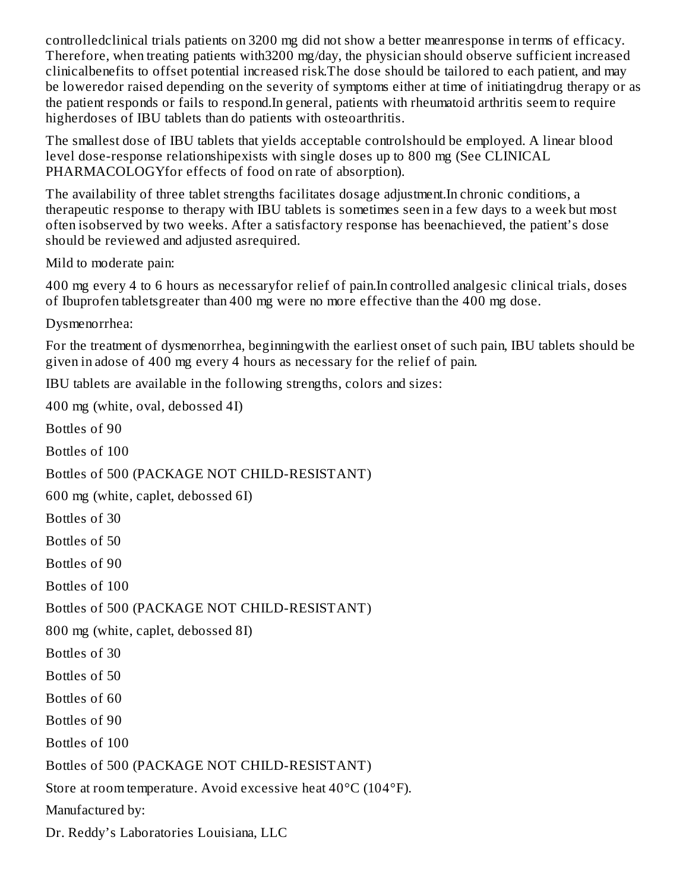controlledclinical trials patients on 3200 mg did not show a better meanresponse in terms of efficacy. Therefore, when treating patients with3200 mg/day, the physician should observe sufficient increased clinicalbenefits to offset potential increased risk.The dose should be tailored to each patient, and may be loweredor raised depending on the severity of symptoms either at time of initiatingdrug therapy or as the patient responds or fails to respond.In general, patients with rheumatoid arthritis seem to require higherdoses of IBU tablets than do patients with osteoarthritis.

The smallest dose of IBU tablets that yields acceptable controlshould be employed. A linear blood level dose-response relationshipexists with single doses up to 800 mg (See CLINICAL PHARMACOLOGYfor effects of food on rate of absorption).

The availability of three tablet strengths facilitates dosage adjustment.In chronic conditions, a therapeutic response to therapy with IBU tablets is sometimes seen in a few days to a week but most often isobserved by two weeks. After a satisfactory response has beenachieved, the patient's dose should be reviewed and adjusted asrequired.

Mild to moderate pain:

400 mg every 4 to 6 hours as necessaryfor relief of pain.In controlled analgesic clinical trials, doses of Ibuprofen tabletsgreater than 400 mg were no more effective than the 400 mg dose.

Dysmenorrhea:

For the treatment of dysmenorrhea, beginningwith the earliest onset of such pain, IBU tablets should be given in adose of 400 mg every 4 hours as necessary for the relief of pain.

IBU tablets are available in the following strengths, colors and sizes:

400 mg (white, oval, debossed 4I)

Bottles of 90

Bottles of 100

Bottles of 500 (PACKAGE NOT CHILD-RESISTANT)

600 mg (white, caplet, debossed 6I)

Bottles of 30

Bottles of 50

Bottles of 90

Bottles of 100

Bottles of 500 (PACKAGE NOT CHILD-RESISTANT)

800 mg (white, caplet, debossed 8I)

Bottles of 30

Bottles of 50

Bottles of 60

Bottles of 90

Bottles of 100

Bottles of 500 (PACKAGE NOT CHILD-RESISTANT)

Store at room temperature. Avoid excessive heat 40°C (104°F).

Manufactured by:

Dr. Reddy's Laboratories Louisiana, LLC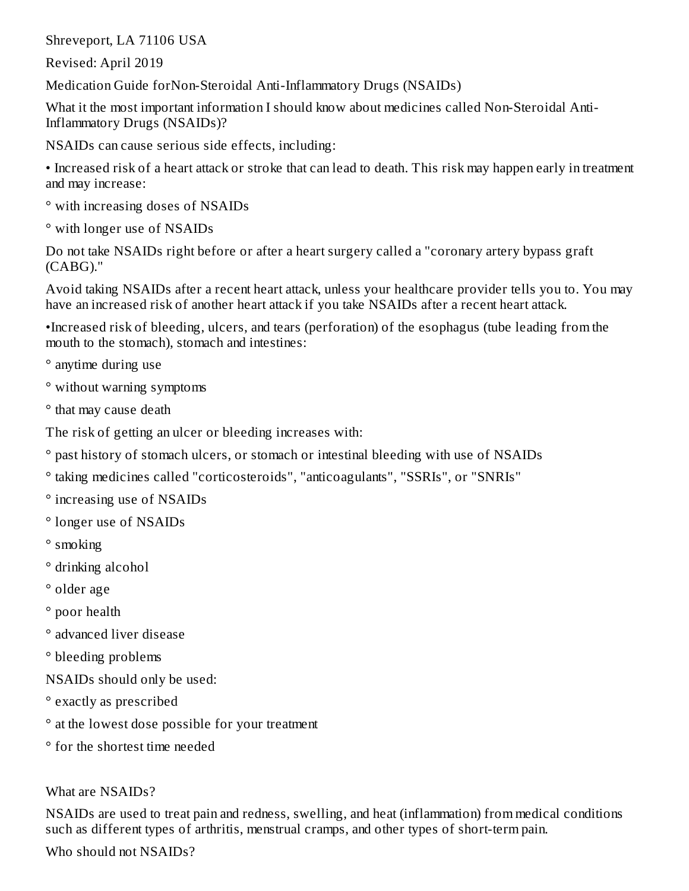Shreveport, LA 71106 USA

Revised: April 2019

Medication Guide forNon-Steroidal Anti-Inflammatory Drugs (NSAIDs)

What it the most important information I should know about medicines called Non-Steroidal Anti-Inflammatory Drugs (NSAIDs)?

NSAIDs can cause serious side effects, including:

• Increased risk of a heart attack or stroke that can lead to death. This risk may happen early in treatment and may increase:

- ° with increasing doses of NSAIDs
- ° with longer use of NSAIDs

Do not take NSAIDs right before or after a heart surgery called a "coronary artery bypass graft (CABG)."

Avoid taking NSAIDs after a recent heart attack, unless your healthcare provider tells you to. You may have an increased risk of another heart attack if you take NSAIDs after a recent heart attack.

•Increased risk of bleeding, ulcers, and tears (perforation) of the esophagus (tube leading from the mouth to the stomach), stomach and intestines:

° anytime during use

- ° without warning symptoms
- ° that may cause death

The risk of getting an ulcer or bleeding increases with:

° past history of stomach ulcers, or stomach or intestinal bleeding with use of NSAIDs

° taking medicines called "corticosteroids", "anticoagulants", "SSRIs", or "SNRIs"

° increasing use of NSAIDs

- ° longer use of NSAIDs
- ° smoking
- ° drinking alcohol
- ° older age
- ° poor health
- ° advanced liver disease
- ° bleeding problems

NSAIDs should only be used:

- ° exactly as prescribed
- ° at the lowest dose possible for your treatment
- ° for the shortest time needed

# What are NSAIDs?

NSAIDs are used to treat pain and redness, swelling, and heat (inflammation) from medical conditions such as different types of arthritis, menstrual cramps, and other types of short-term pain.

Who should not NSAIDs?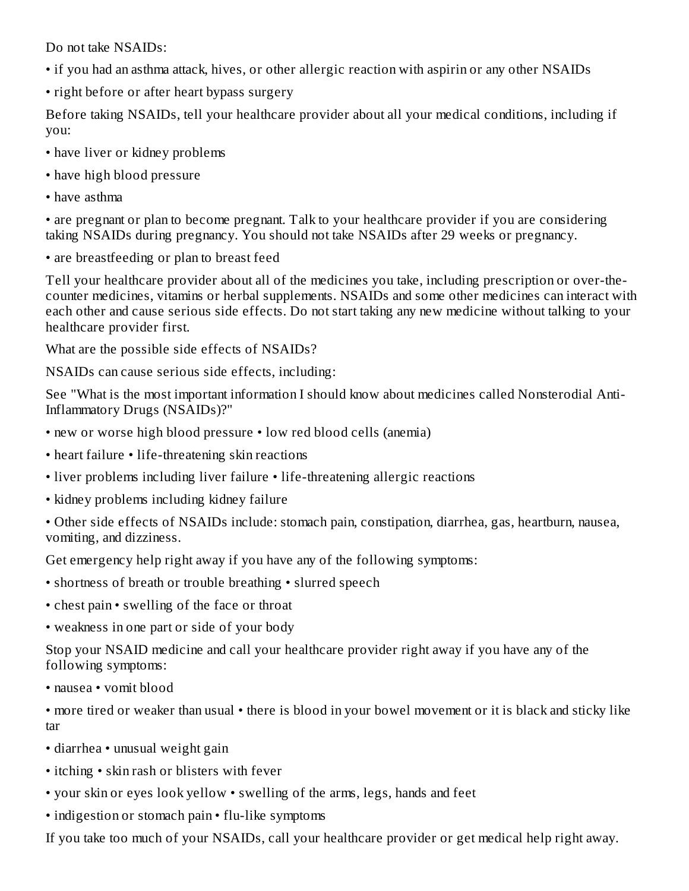Do not take NSAIDs:

- if you had an asthma attack, hives, or other allergic reaction with aspirin or any other NSAIDs
- right before or after heart bypass surgery

Before taking NSAIDs, tell your healthcare provider about all your medical conditions, including if you:

- have liver or kidney problems
- have high blood pressure
- have asthma

• are pregnant or plan to become pregnant. Talk to your healthcare provider if you are considering taking NSAIDs during pregnancy. You should not take NSAIDs after 29 weeks or pregnancy.

• are breastfeeding or plan to breast feed

Tell your healthcare provider about all of the medicines you take, including prescription or over-thecounter medicines, vitamins or herbal supplements. NSAIDs and some other medicines can interact with each other and cause serious side effects. Do not start taking any new medicine without talking to your healthcare provider first.

What are the possible side effects of NSAIDs?

NSAIDs can cause serious side effects, including:

See "What is the most important information I should know about medicines called Nonsterodial Anti-Inflammatory Drugs (NSAIDs)?"

- new or worse high blood pressure low red blood cells (anemia)
- heart failure life-threatening skin reactions
- liver problems including liver failure life-threatening allergic reactions
- kidney problems including kidney failure

• Other side effects of NSAIDs include: stomach pain, constipation, diarrhea, gas, heartburn, nausea, vomiting, and dizziness.

Get emergency help right away if you have any of the following symptoms:

- shortness of breath or trouble breathing slurred speech
- chest pain swelling of the face or throat
- weakness in one part or side of your body

Stop your NSAID medicine and call your healthcare provider right away if you have any of the following symptoms:

• nausea • vomit blood

• more tired or weaker than usual • there is blood in your bowel movement or it is black and sticky like tar

- diarrhea unusual weight gain
- itching skin rash or blisters with fever
- your skin or eyes look yellow swelling of the arms, legs, hands and feet
- indigestion or stomach pain flu-like symptoms

If you take too much of your NSAIDs, call your healthcare provider or get medical help right away.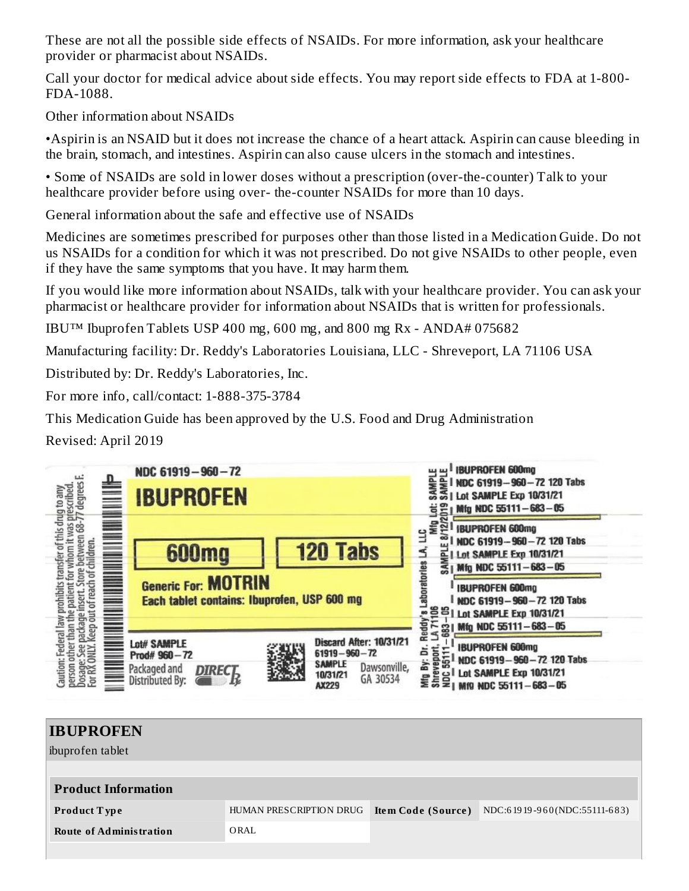These are not all the possible side effects of NSAIDs. For more information, ask your healthcare provider or pharmacist about NSAIDs.

Call your doctor for medical advice about side effects. You may report side effects to FDA at 1-800- FDA-1088.

Other information about NSAIDs

•Aspirin is an NSAID but it does not increase the chance of a heart attack. Aspirin can cause bleeding in the brain, stomach, and intestines. Aspirin can also cause ulcers in the stomach and intestines.

• Some of NSAIDs are sold in lower doses without a prescription (over-the-counter) Talk to your healthcare provider before using over- the-counter NSAIDs for more than 10 days.

General information about the safe and effective use of NSAIDs

Medicines are sometimes prescribed for purposes other than those listed in a Medication Guide. Do not us NSAIDs for a condition for which it was not prescribed. Do not give NSAIDs to other people, even if they have the same symptoms that you have. It may harm them.

If you would like more information about NSAIDs, talk with your healthcare provider. You can ask your pharmacist or healthcare provider for information about NSAIDs that is written for professionals.

IBU™ Ibuprofen Tablets USP 400 mg, 600 mg, and 800 mg Rx - ANDA# 075682

Manufacturing facility: Dr. Reddy's Laboratories Louisiana, LLC - Shreveport, LA 71106 USA

Distributed by: Dr. Reddy's Laboratories, Inc.

For more info, call/contact: 1-888-375-3784

This Medication Guide has been approved by the U.S. Food and Drug Administration

Revised: April 2019

| degrees F.                                                                                                                                                                                                                         | NDC 61919-960-72<br><b>IBUPROFEN</b>                                                                                                                                                                  | 벌벌 <sup>1</sup> IBUPROFEN 600mg<br>SAMPL<br>SAMPL<br>NDC 61919-960-72 120 Tabs<br>I Lot SAMPLE Exp 10/31/21<br>Mfg NDC 55111-683-05<br>ទី                  |
|------------------------------------------------------------------------------------------------------------------------------------------------------------------------------------------------------------------------------------|-------------------------------------------------------------------------------------------------------------------------------------------------------------------------------------------------------|------------------------------------------------------------------------------------------------------------------------------------------------------------|
| Caution: Federal law prohibits transfer of this drug to any<br>person other than the patient for whom it was prescribed.<br>Dosage: See package insert. Store between 68-77 degrees<br>For RX ONLY. Keep out of reach of children. | <b>120 Tabs</b><br>600mg                                                                                                                                                                              | LE 8/12/2019<br>₹<br>IBUPROFEN 600mg<br>Э<br>NDC 61919-960-72 120 Tabs<br><b>SAMPL</b><br>Lot SAMPLE Exp 10/31/21<br>Mfg NDC 55111-683-05                  |
|                                                                                                                                                                                                                                    | <b>Generic For: MOTRIN</b><br>Each tablet contains: Ibuprofen, USP 600 mg                                                                                                                             | aboratorles<br><b>IBUPROFEN 600mg</b><br>NDC 61919-960-72 120 Tabs<br>ige<br><b>B1 Lot SAMPLE Exp 10/31/21</b><br>Reddy<br><b>E21 Mfg NDC 55111-683-05</b> |
|                                                                                                                                                                                                                                    | After: 10/31/21<br>Discard<br>Lot# SAMPLE<br>$61919 - 960 - 72$<br>Prod# 960-72<br><b>SAMPLE</b><br>Dawsonville,<br>Packaged and<br>Distributed By:<br><b>DIRECT</b><br>10/31/21<br>GA 30534<br>AX229 | Shreveport,<br><b>IBUPROFEN 600mg</b><br>Mfg By: Dr<br>5511<br>NDC 61919-960-72 120 Tabs<br>E GI Lot SAMPLE Exp 10/31/21<br>Mfg NDC 55111-683-05           |

| <b>IBUPROFEN</b>               |                         |                    |                              |
|--------------------------------|-------------------------|--------------------|------------------------------|
| ibuprofen tablet               |                         |                    |                              |
|                                |                         |                    |                              |
| <b>Product Information</b>     |                         |                    |                              |
| <b>Product Type</b>            | HUMAN PRESCRIPTION DRUG | Item Code (Source) | NDC:61919-960(NDC:55111-683) |
| <b>Route of Administration</b> | ORAL                    |                    |                              |
|                                |                         |                    |                              |